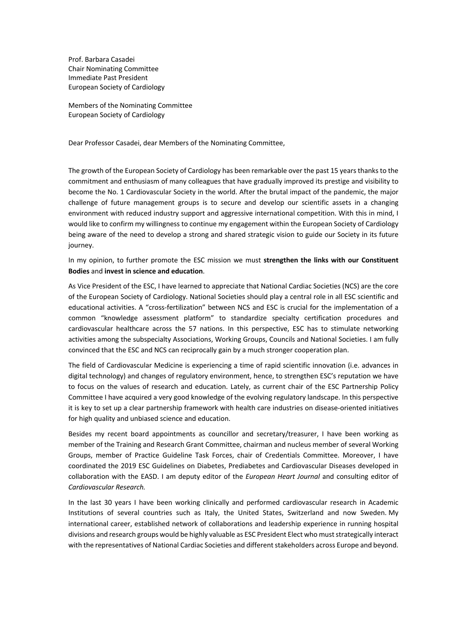Prof. Barbara Casadei Chair Nominating Committee Immediate Past President European Society of Cardiology

Members of the Nominating Committee European Society of Cardiology

Dear Professor Casadei, dear Members of the Nominating Committee,

The growth of the European Society of Cardiology has been remarkable over the past 15 years thanks to the commitment and enthusiasm of many colleagues that have gradually improved its prestige and visibility to become the No. 1 Cardiovascular Society in the world. After the brutal impact of the pandemic, the major challenge of future management groups is to secure and develop our scientific assets in a changing environment with reduced industry support and aggressive international competition. With this in mind, I would like to confirm my willingness to continue my engagement within the European Society of Cardiology being aware of the need to develop a strong and shared strategic vision to guide our Society in its future journey.

In my opinion, to further promote the ESC mission we must **strengthen the links with our Constituent Bodies** and **invest in science and education**.

As Vice President of the ESC, I have learned to appreciate that National Cardiac Societies (NCS) are the core of the European Society of Cardiology. National Societies should play a central role in all ESC scientific and educational activities. A "cross-fertilization" between NCS and ESC is crucial for the implementation of a common "knowledge assessment platform" to standardize specialty certification procedures and cardiovascular healthcare across the 57 nations. In this perspective, ESC has to stimulate networking activities among the subspecialty Associations, Working Groups, Councils and National Societies. I am fully convinced that the ESC and NCS can reciprocally gain by a much stronger cooperation plan.

The field of Cardiovascular Medicine is experiencing a time of rapid scientific innovation (i.e. advances in digital technology) and changes of regulatory environment, hence, to strengthen ESC's reputation we have to focus on the values of research and education. Lately, as current chair of the ESC Partnership Policy Committee I have acquired a very good knowledge of the evolving regulatory landscape. In this perspective it is key to set up a clear partnership framework with health care industries on disease-oriented initiatives for high quality and unbiased science and education.

Besides my recent board appointments as councillor and secretary/treasurer, I have been working as member of the Training and Research Grant Committee, chairman and nucleus member of several Working Groups, member of Practice Guideline Task Forces, chair of Credentials Committee. Moreover, I have coordinated the 2019 ESC Guidelines on Diabetes, Prediabetes and Cardiovascular Diseases developed in collaboration with the EASD. I am deputy editor of the *European Heart Journal* and consulting editor of *Cardiovascular Research.*

In the last 30 years I have been working clinically and performed cardiovascular research in Academic Institutions of several countries such as Italy, the United States, Switzerland and now Sweden. My international career, established network of collaborations and leadership experience in running hospital divisions and research groups would be highly valuable as ESC President Elect who must strategically interact with the representatives of National Cardiac Societies and different stakeholders across Europe and beyond.